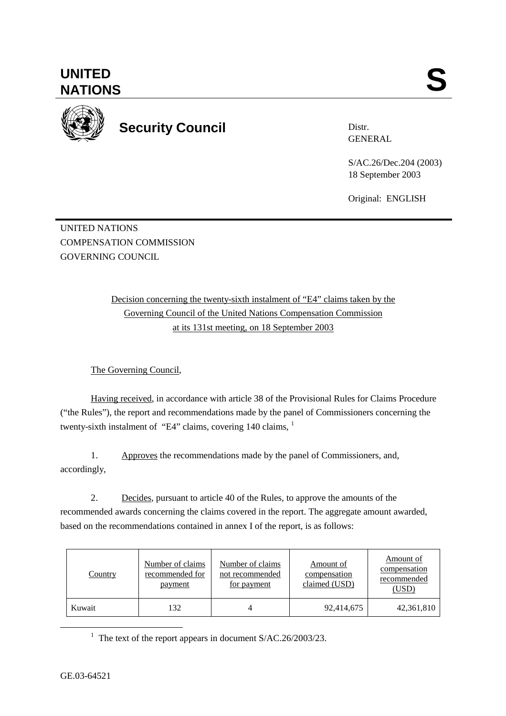GE.03-64521



**UNITED** 

**Security Council** 

Distr. GENERAL

S/AC.26/Dec.204 (2003) 18 September 2003

Original: ENGLISH

UNITED NATIONS COMPENSATION COMMISSION GOVERNING COUNCIL

> Decision concerning the twenty-sixth instalment of "E4" claims taken by the Governing Council of the United Nations Compensation Commission at its 131st meeting, on 18 September 2003

The Governing Council,

Having received, in accordance with article 38 of the Provisional Rules for Claims Procedure ("the Rules"), the report and recommendations made by the panel of Commissioners concerning the twenty-sixth instalment of "E4" claims, covering 140 claims, <sup>1</sup>

1. Approves the recommendations made by the panel of Commissioners, and, accordingly,

2. Decides, pursuant to article 40 of the Rules, to approve the amounts of the recommended awards concerning the claims covered in the report. The aggregate amount awarded, based on the recommendations contained in annex I of the report, is as follows:

| Country | Number of claims<br>recommended for<br>payment | Number of claims<br>not recommended<br>for payment | Amount of<br>compensation<br>claimed (USD) | Amount of<br>compensation<br>recommended<br>(USD) |
|---------|------------------------------------------------|----------------------------------------------------|--------------------------------------------|---------------------------------------------------|
| Kuwait  | 132                                            |                                                    | 92,414,675                                 | 42,361,810                                        |

<u>1</u> <sup>1</sup> The text of the report appears in document  $S/AC.26/2003/23$ .